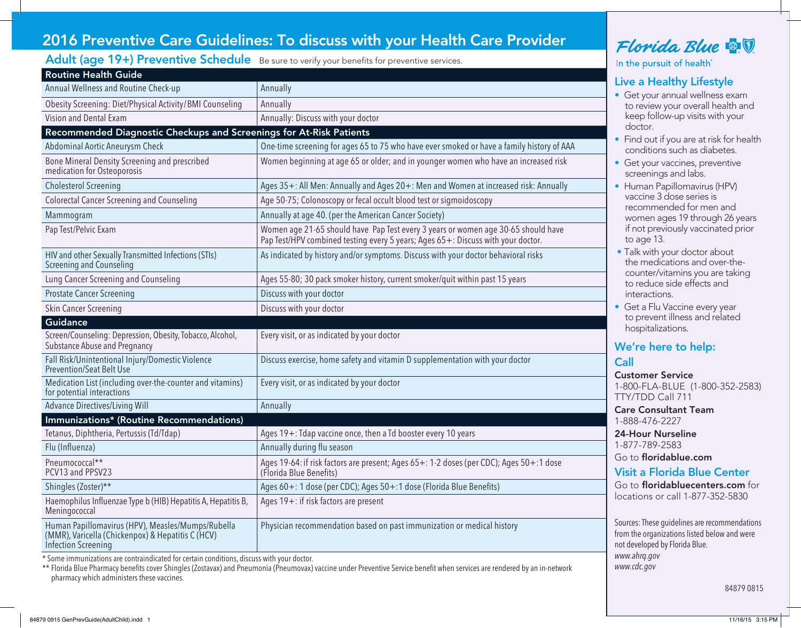## 2016 Preventive Care Guidelines: To discuss with your Health Care Provider

### Adult (age 19+) Preventive Schedule Be sure to verify your benefits for preventive services.

| <b>Routine Health Guide</b>                                                                                                          |                                                                                                                                                                       |
|--------------------------------------------------------------------------------------------------------------------------------------|-----------------------------------------------------------------------------------------------------------------------------------------------------------------------|
| Annual Wellness and Routine Check-up                                                                                                 | Annually                                                                                                                                                              |
| Obesity Screening: Diet/Physical Activity/BMI Counseling                                                                             | Annually                                                                                                                                                              |
| Vision and Dental Exam                                                                                                               | Annually: Discuss with your doctor                                                                                                                                    |
| Recommended Diagnostic Checkups and Screenings for At-Risk Patients                                                                  |                                                                                                                                                                       |
| Abdominal Aortic Aneurysm Check                                                                                                      | One-time screening for ages 65 to 75 who have ever smoked or have a family history of AAA                                                                             |
| Bone Mineral Density Screening and prescribed<br>medication for Osteoporosis                                                         | Women beginning at age 65 or older; and in younger women who have an increased risk                                                                                   |
| <b>Cholesterol Screening</b>                                                                                                         | Ages 35+: All Men: Annually and Ages 20+: Men and Women at increased risk: Annually                                                                                   |
| <b>Colorectal Cancer Screening and Counseling</b>                                                                                    | Age 50-75; Colonoscopy or fecal occult blood test or sigmoidoscopy                                                                                                    |
| Mammogram                                                                                                                            | Annually at age 40. (per the American Cancer Society)                                                                                                                 |
| Pap Test/Pelvic Exam                                                                                                                 | Women age 21-65 should have Pap Test every 3 years or women age 30-65 should have<br>Pap Test/HPV combined testing every 5 years; Ages 65+: Discuss with your doctor. |
| HIV and other Sexually Transmitted Infections (STIs)<br>Screening and Counseling                                                     | As indicated by history and/or symptoms. Discuss with your doctor behavioral risks                                                                                    |
| Lung Cancer Screening and Counseling                                                                                                 | Ages 55-80; 30 pack smoker history, current smoker/quit within past 15 years                                                                                          |
| <b>Prostate Cancer Screening</b>                                                                                                     | Discuss with your doctor                                                                                                                                              |
| Skin Cancer Screening                                                                                                                | Discuss with your doctor                                                                                                                                              |
| <b>Guidance</b>                                                                                                                      |                                                                                                                                                                       |
| Screen/Counseling: Depression, Obesity, Tobacco, Alcohol,<br>Substance Abuse and Pregnancy                                           | Every visit, or as indicated by your doctor                                                                                                                           |
| Fall Risk/Unintentional Injury/Domestic Violence<br><b>Prevention/Seat Belt Use</b>                                                  | Discuss exercise, home safety and vitamin D supplementation with your doctor                                                                                          |
| Medication List (including over-the-counter and vitamins)<br>for potential interactions                                              | Every visit, or as indicated by your doctor                                                                                                                           |
| Advance Directives/Living Will                                                                                                       | Annually                                                                                                                                                              |
| Immunizations* (Routine Recommendations)                                                                                             |                                                                                                                                                                       |
| Tetanus, Diphtheria, Pertussis (Td/Tdap)                                                                                             | Ages 19+: Tdap vaccine once, then a Td booster every 10 years                                                                                                         |
| Flu (Influenza)                                                                                                                      | Annually during flu season                                                                                                                                            |
| Pneumococcal**<br>PCV13 and PPSV23                                                                                                   | Ages 19-64: if risk factors are present; Ages 65+: 1-2 doses (per CDC); Ages 50+:1 dose<br>(Florida Blue Benefits)                                                    |
| Shingles (Zoster)**                                                                                                                  | Ages 60+: 1 dose (per CDC); Ages 50+:1 dose (Florida Blue Benefits)                                                                                                   |
| Haemophilus Influenzae Type b (HIB) Hepatitis A, Hepatitis B,<br>Meningococcal                                                       | Ages 19+: if risk factors are present                                                                                                                                 |
| Human Papillomavirus (HPV), Measles/Mumps/Rubella<br>(MMR), Varicella (Chickenpox) & Hepatitis C (HCV)<br><b>Infection Screening</b> | Physician recommendation based on past immunization or medical history                                                                                                |

\* Some immunizations are contraindicated for certain conditions, discuss with your doctor.

\*\* Florida Blue Pharmacy benefits cover Shingles (Zostavax) and Pneumonia (Pneumovax) vaccine under Preventive Service benefit when services are rendered by an in-network pharmacy which administers these vaccines.

# Florida Blue & !

In the pursuit of health<sup>®</sup>

## Live a Healthy Lifestyle

- Get your annual wellness exam to review your overall health and keep follow-up visits with your doctor.
- Find out if you are at risk for health conditions such as diabetes.
- Get your vaccines, preventive screenings and labs.
- Human Papillomavirus (HPV) vaccine 3 dose series is recommended for men and women ages 19 through 26 years if not previously vaccinated prior to age 13.
- Talk with your doctor about the medications and over-thecounter/vitamins you are taking to reduce side effects and interactions.
- Get a Flu Vaccine every year to prevent illness and related hospitalizations.

# We're here to help:

## Call

Customer Service 1-800-FLA-BLUE (1-800-352-2583) TTY/TDD Call 711

Care Consultant Team 1-888-476-2227

24-Hour Nurseline 1-877-789-2583

Go to floridablue.com

## Visit a Florida Blue Center

Go to floridabluecenters.com for locations or call 1-877-352-5830

Sources: These guidelines are recommendations from the organizations listed below and were not developed by Florida Blue. *www.ahrq.gov www.cdc.gov*

84879 0815